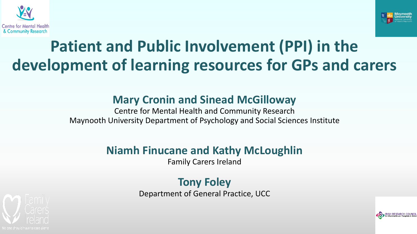



# **Patient and Public Involvement (PPI) in the development of learning resources for GPs and carers**

### **Mary Cronin and Sinead McGilloway**

Centre for Mental Health and Community Research Maynooth University Department of Psychology and Social Sciences Institute

### **Niamh Finucane and Kathy McLoughlin**

Family Carers Ireland

#### **Tony Foley** Department of General Practice, UCC

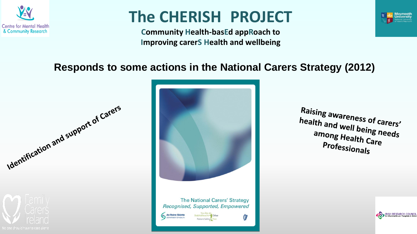

# **The CHERISH PROJECT**

**Community Health-basEd appRoach to Improving carerS Health and wellbeing**



RISH RESEARCH COUNCIL

### **Responds to some actions in the National Carers Strategy (2012)**





**Raising awareness of carers'**<br>health and well being health and well being needs<br>among Health Carenges among Health Care<br>Profess: **Professionals**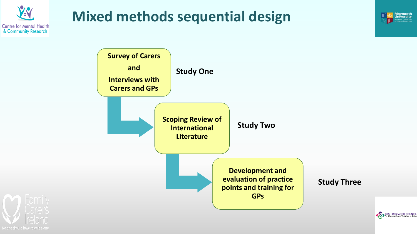

## **Mixed methods sequential design**







**Maynooth**<br>University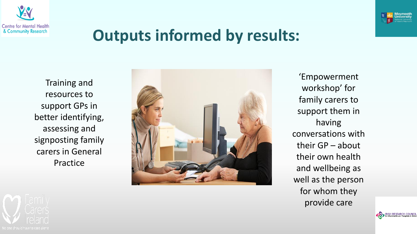



**RISH RESEARCH COUND** 

# **Outputs informed by results:**

Training and resources to support GPs in better identifying, assessing and signposting family carers in General Practice



'Empowerment workshop' for family carers to support them in having conversations with their GP – about their own health and wellbeing as well as the person for whom they provide care

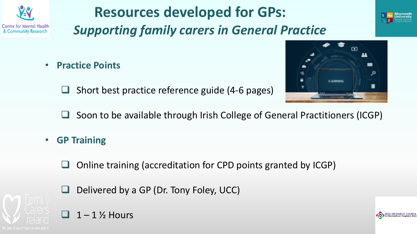

# **Resources developed for GPs:**

*Supporting family carers in General Practice*



 $\Box$ 

E-LEARNING

22



- **Practice Points**
	- ❑ Short best practice reference guide (4-6 pages)



- **GP Training** 
	- ❑ Online training (accreditation for CPD points granted by ICGP)
	- ❑ Delivered by a GP (Dr. Tony Foley, UCC)



### $1 - 1$  % Hours

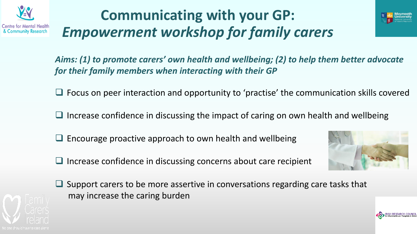

# **Communicating with your GP:** *Empowerment workshop for family carers*



*Aims: (1) to promote carers' own health and wellbeing; (2) to help them better advocate for their family members when interacting with their GP*

- ❑ Focus on peer interaction and opportunity to 'practise' the communication skills covered
- ❑ Increase confidence in discussing the impact of caring on own health and wellbeing
- ❑ Encourage proactive approach to own health and wellbeing
- □ Increase confidence in discussing concerns about care recipient



Support carers to be more assertive in conversations regarding care tasks that may increase the caring burden

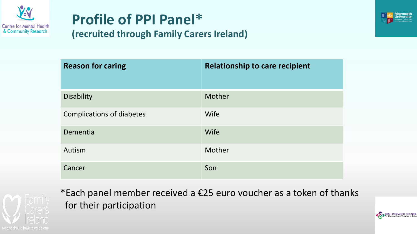

# **Profile of PPI Panel\***



RISH RESEARCH COUNCIL

#### **(recruited through Family Carers Ireland)**

| <b>Reason for caring</b>         | <b>Relationship to care recipient</b> |
|----------------------------------|---------------------------------------|
| <b>Disability</b>                | Mother                                |
| <b>Complications of diabetes</b> | <b>Wife</b>                           |
| Dementia                         | Wife                                  |
| Autism                           | Mother                                |
| Cancer                           | Son                                   |



\*Each panel member received a €25 euro voucher as a token of thanks for their participation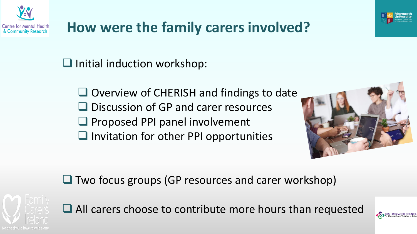



❑ Initial induction workshop:

❑ Overview of CHERISH and findings to date ❑ Discussion of GP and carer resources ❑ Proposed PPI panel involvement ❑ Invitation for other PPI opportunities



❑ Two focus groups (GP resources and carer workshop)



■ All carers choose to contribute more hours than requested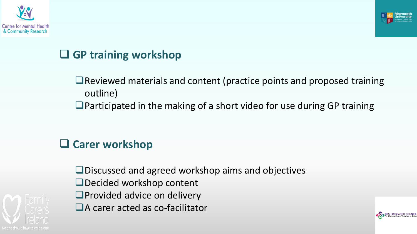



RISH RESEARCH COUNC

## ❑ **GP training workshop**

❑Reviewed materials and content (practice points and proposed training outline)

■Participated in the making of a short video for use during GP training

### ❑ **Carer workshop**



❑Discussed and agreed workshop aims and objectives ❑Decided workshop content ❑Provided advice on delivery ■A carer acted as co-facilitator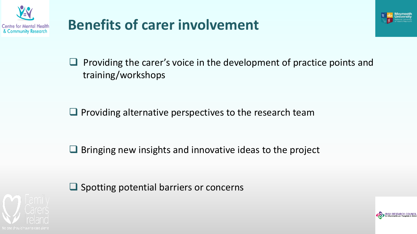

# **Benefits of carer involvement**



 $\Box$  Providing the carer's voice in the development of practice points and training/workshops

□ Providing alternative perspectives to the research team

❑ Bringing new insights and innovative ideas to the project



❑ Spotting potential barriers or concerns

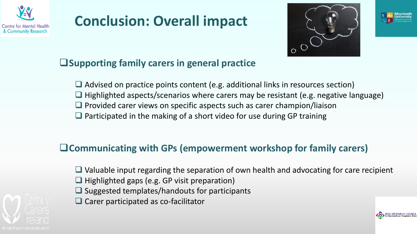

## **Conclusion: Overall impact**





### ❑**Supporting family carers in general practice**

❑ Advised on practice points content (e.g. additional links in resources section)  $\Box$  Highlighted aspects/scenarios where carers may be resistant (e.g. negative language) □ Provided carer views on specific aspects such as carer champion/liaison ■ Participated in the making of a short video for use during GP training

### ❑**Communicating with GPs (empowerment workshop for family carers)**

❑ Valuable input regarding the separation of own health and advocating for care recipient ❑ Highlighted gaps (e.g. GP visit preparation) ❑ Suggested templates/handouts for participants ❑ Carer participated as co-facilitator